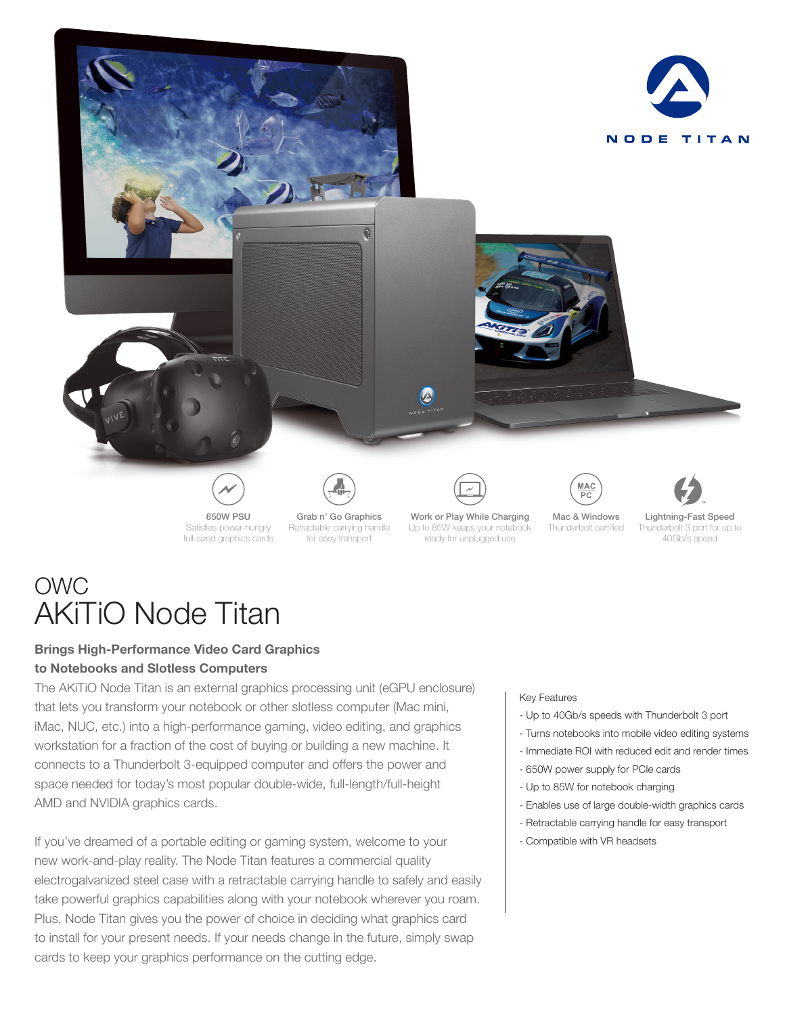

# OWC AKiTiO Node Titan

# **Brings High-Performance Video Card Graphics to Notebooks and Slotless Computers**

The AKiTiO Node Titan is an external graphics processing unit (eGPU enclosure) that lets you transform your notebook or other slotless computer (Mac mini, iMac, NUC, etc.) into a high-performance gaming, video editing, and graphics workstation for a fraction of the cost of buying or building a new machine. It connects to a Thunderbolt 3-equipped computer and offers the power and space needed for today's most popular double-wide, full-length/full-height AMD and NVIDIA graphics cards.

If you've dreamed of a portable editing or gaming system, welcome to your new work-and-play reality. The Node Titan features a commercial quality electrogalvanized steel case with a retractable carrying handle to safely and easily take powerful graphics capabilities along with your notebook wherever you roam. Plus, Node Titan gives you the power of choice in deciding what graphics card to install for your present needs. If your needs change in the future, simply swap cards to keep your graphics performance on the cutting edge.

# Key Features

- Up to 40Gb/s speeds with Thunderbolt 3 port
- Turns notebooks into mobile video editing systems
- Immediate ROI with reduced edit and render times
- 650W power supply for PCIe cards
- Up to 85W for notebook charging
- Enables use of large double-width graphics cards
- Retractable carrying handle for easy transport
- Compatible with VR headsets